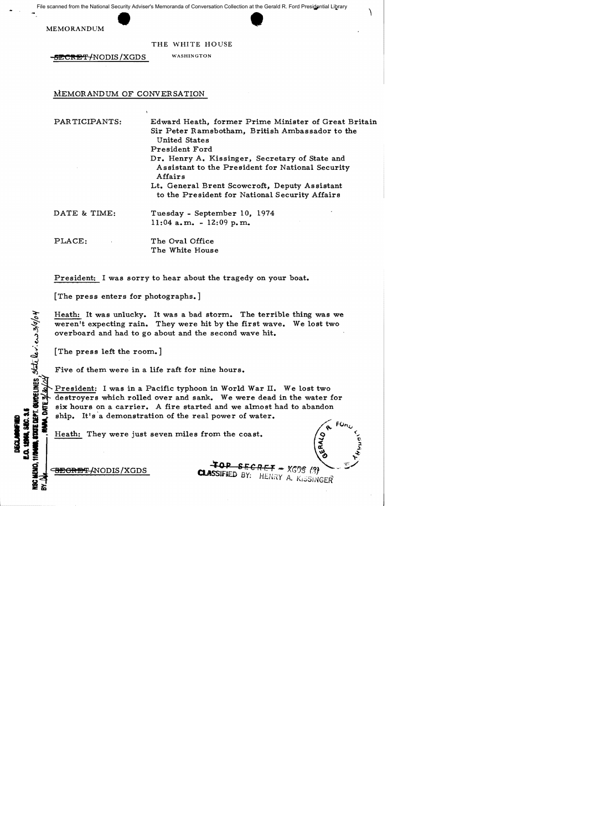File scanned from the National Security Adviser's Memoranda of Conversation Collection at the Gerald R. Ford Presidential Library scanned from the National Security Adviser's Memoranda of Conversation Collection at the Gerald<br>MEMORANDUM THE WHITE HOUSE

THE WHITE HOUSE

**EECRET/NODIS/XGDS** WASHINGTON

#### MEMORANDUM OF CONVERSATION

PAR TICIPANTS:

Edward Heath, former Prime Minister of Great Britain Sir Peter Ramsbotham, British Ambassador to the United States President Ford Dr. Henry A. Kissinger, Secretary of State and Assistant to the President for National Security Affairs Lt. General Brent Scowcroft, Deputy Assistant

to the President for National Security Affairs

DATE & TIME: Tuesday - September 10, 1974 11:04 a.m. - 12:09 p.m.

PLACE: The Oval Office The White House

President: I was sorry to hear about the tragedy on your boat.

[The press enters for photographs.]

Heath: It was unlucky. It was a bad storm. The terrible thing was we weren't expecting rain. They were hit by the first wave. We lost two overboard and had to go about and the second wave hit.

[The press left the room.]

 $h$ o/o  $\mathbf{v}$ J ''';

 $\rightarrow$ 

**INANCIA** 

Five of them were in a life raft for nine hours.

President: I was in a Pacific typhoon in World War II. We lost two destroyers which rolled over and sank. We were dead in the water for  $\frac{1}{2}$ . Six hours on a carrier. A fire started and we almost had to abandon<br> $\frac{1}{2}$  ship. It's a demonstration of the real power of water. Example 1 I. They were just seven miles from the coast.<br>
The real power of water.<br>
The real power of water.<br>
The real power of water.<br>
The real power of water.<br>
The real power of water.<br>
The real power of water.<br>
The real

S == ~" '"~ ~ CBEORE'F-/.NODIS !XGDS 4' 0 PiE C *<sup>R</sup>*F. **1=** .- <sup>X</sup>'c;r;§. (~, - <sup>y</sup> CLASSIFIED BY: HENRY A. KISSINGER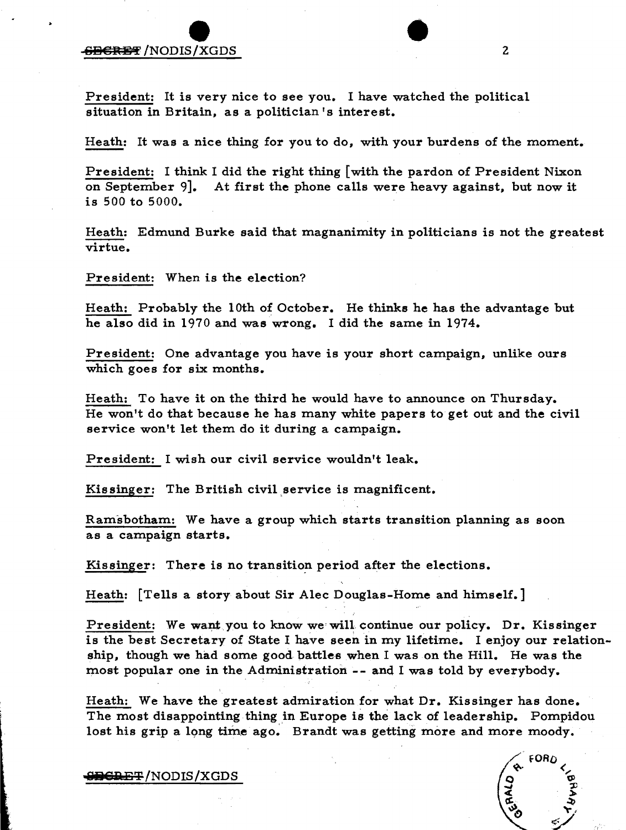## **EBERET** / NODIS / XGDS **sa** 8tH!:'!' /NODIS /XGDS • <sup>2</sup>

President: It is very nice to see you. I have watched the political situation in Britain, as a politician's interest.

Heath: It was a nice thing for you to do, with your burdens of the moment.

President: I think I did the right thing [with the pardon of President Nixon on September 9]. At first the phone ca11s were heavy against, but now it is 500 to 5000.

Heath: Edmund Burke said that magnanimity in politicians is not the greatest virtue.

President: When is the election?

Heath: Probably the 10th of October. He thinks he has the advantage but he also did in 1970 and was wrong. I did the same in 1974.

President: One advantage you have is your short campaign, unlike ours which goes for six months.

Heath: To have it on the third he would have to announce on Thursday. He won't do that because he has many white papers to get out and the civil service won't let them do it during a campaign.

President: I wish our civil service wouldn't leak.

Kissinger: The British civil service is magnificent.

Ramsbotham: We have a group which starts transition planning as soon as a campaign starts.

Kissinger: There is no transition period after the elections.

Heath: [Te11s a story about Sir Alec Douglas-Home and himself.]

President: We want you to know we will continue our policy. Dr. Kissinger is the best Secretary of State I have seen in my lifetime. I enjoy our relationship, though we had some good battles when I was on the Hill. He was the most popular one in the Administration -- and I was told by everybody.

Heath: We have the greatest admiration for what Dr. Kissinger has done. The most disappointing thing in Europe is the lack of leadership. Pompidou lost his grip a long time ago. Brandt was getting more and more moody.

FORD

**BGRET/NODIS/XGDS**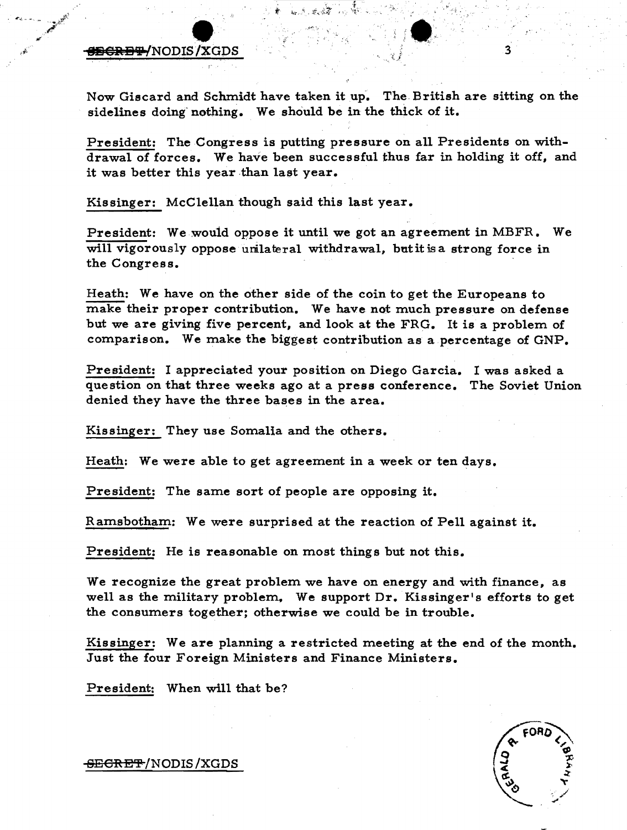## $\frac{1}{\sqrt{1+\frac{1}{2}}}\left( \frac{1}{\sqrt{1+\frac{1}{2}}}\right)$ 8II8RB'i/NODIS1XGDS 3

Now Giscard and Schmidt have taken it up. The British are sitting on the sidelines doing nothing. We should be in the thick of it.

President: The Congress is putting pressure on all Presidents on withdrawal of forces. We have been successful thus far in holding it off. and it was better this year than last year.

Kissinger: McClellan though said this last year.

President: We would oppose it until we got an agreement in MBFR. We will vigorously oppose unlateral withdrawal, but it is a strong force in the Congress.

Heath: We have on the other side of the coin to get the Europeans to make their proper contribution. We have not much pressure on defense but we are giving five percent, and look at the FRG. It is a problem of comparison. We make the biggest contribution as a percentage of GNP.

President: I appreciated your position on Diego Garcia. I was asked a question on that three weeks ago at a press conference. The Soviet Union denied they have the three bases in the area.

Kissinger: They use Somalia and the others.

Heath: We were able to get agreement in a week or ten days.

President: The same sort of people are opposing it.

Ramsbotham: We were surprised at the reaction of Pell against it.

President: He is reasonable on most things but not this.

We recognize the great problem we have on energy and with finance. as well as the military problem. We support Dr. Kissinger's efforts to get the consumers together; otherwise we could be in trouble.

Kissinger: We are planning a restricted meeting at the end of the month. Just the four Foreign Ministers and Finance Ministers.

President: When will that be?

<del>SECRET</del>/NODIS/XGDS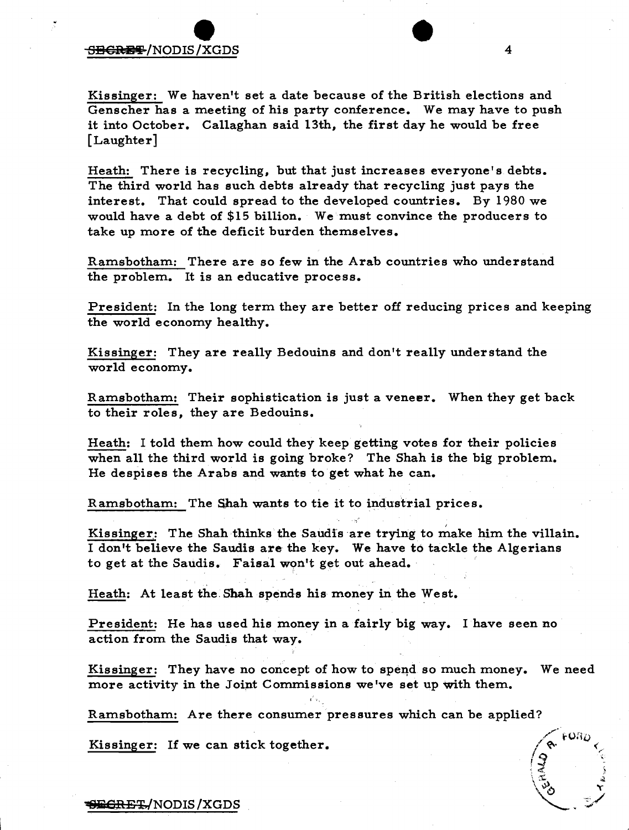## SBCREF/NODIS/XGDS S13€lftB'f !NODIS!XGDS • <sup>4</sup>

Kissinger: We haven't set a date because of the British elections and Genscher has a meeting of his party conference. We may have to push it into October. Callaghan said 13th, the first day he would be free [Laughter]

Heath: There is recycling, but that just increases everyone's debts. The third world has such debts already that recycling just pays the interest. That could spread to the developed countries. By 1980 we would have a debt of  $$15$  billion. We must convince the producers to take up more of the deficit burden themselves.

Ramsbotham: There are so few in the Arab countries who understand the problem. It is an educative process.

President: In the long term they are better off reducing prices and keeping the world economy healthy.

Kissinger: They are really Bedouins and don't really understand the world economy.

Ramsbotham: Their sophistication is just a veneer. When they get back to their roles, they are Bedouins.

Heath: I told them how could they keep getting votes for their policies when all the third world is going broke? The Shah is the big problem. He despises the Arabs and wants to get what he can.

Ramsbotham: The Shah wants to tie it to industrial prices.

Kissinger: The Shah thinks the Saudis are trying to make him the villain. I don't believe the Saudis are the key. We have to tackle the Algerians to get at the Saudis. Faisal won't get out ahead.

Heath: At least the Shah spends his money in the West.

President: He has used his money in a fairly big way. I have seen no action from the Saudis that way.

Kissinger: They have no concept of how to spend so much money. We need more activity in the Joint Commissions we've set up with them.

Ramsbotham: Are there consumer pressures which can be applied?

Kissinger: If we can stick together.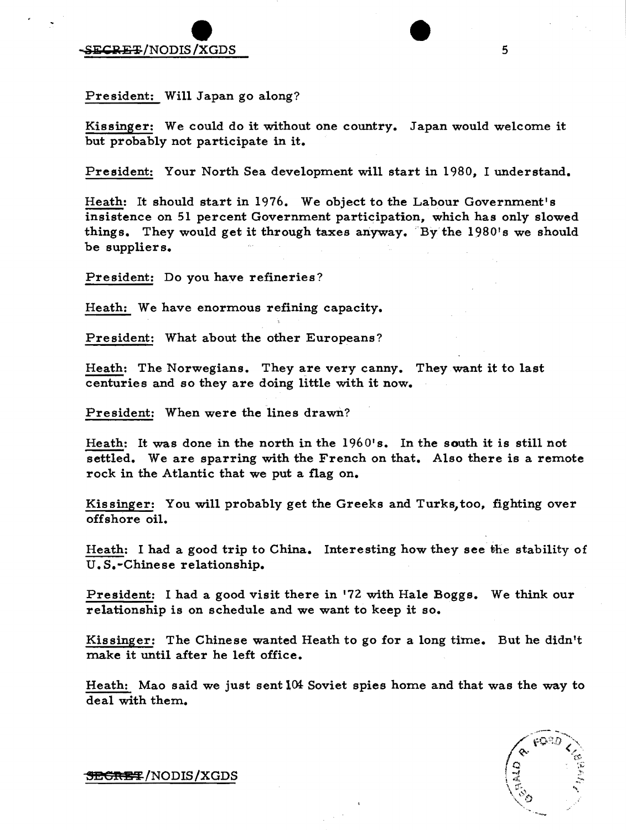e de la composition de la composition de la composition de la composition de la composition de la composition de la composition de la composition de la composition de la composition de la composition de la composition de l

President: Will Japan go along?

Kissinger: We could do it without one country. Japan would welcome it but probably not participate in it.

President: Your North Sea development will start in 1980, I understand.

Heath: It should start in 1976. We object to the Labour Government's insistence on 51 percent Government participation, which has only slowed things. They would get it through taxes anyway. By the 1980's we should be suppliers.

President: Do you have refineries?

Heath: We have enormous refining capacity.

President: What about the other Europeans?

Heath: The Norwegians. They are very canny. They want it to last centuries and so they are doing little with it now.

President: When were the lines drawn?

Heath: It was done in the north in the 1960's. In the south it is still not settled. We are sparring with the French on that. Also there is a remote rock in the Atlantic that we put a flag on.

Kissinger: You will probably get the Greeks and Turks, too, fighting over offshore oil.

Heath: I had a good trip to China. Interesting how they see the stability of U. S.-Chinese relationship.

President: I had a good visit there in 172 with Hale Boggs. We think our relationship is on schedule and we want to keep it so.

Kissinger: The Chinese wanted Heath to go for a long time. But he didn't make it until after he left office.

Heath: Mao said we just sent  $104$  Soviet spies home and that was the way to deal with them..

**SEGRET/NODIS/XGDS**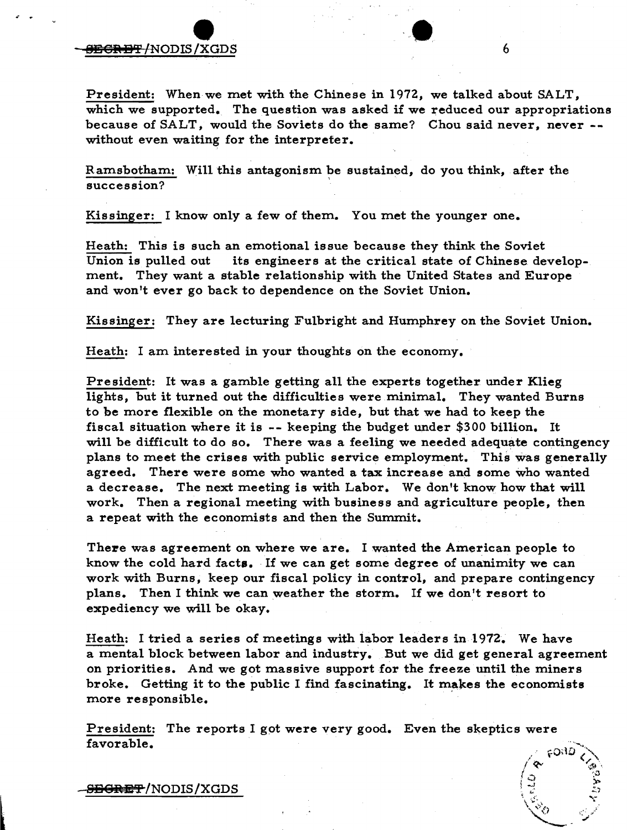## $\overbrace{\text{xsos}}$  $\overline{\text{SEGREFT}}$ /NODIS /XGDS 6

President: When we met with the Chinese in 1972, we talked about SALT, which we supported. The question was asked if we reduced our appropriations because of SALT, would the Soviets do the same? Chou said never, never - without even waiting for the interpreter.

Ramsbotham: Will this antagonism be sustained, do you think, after the succession?

Kissinger: I know only a few of them. You met the younger one.

Heath: This is such an emotional issue because they think the Soviet<br>Union is pulled out its engineers at the critical state of Chinese de its engineers at the critical state of Chinese development. They want a stable relationship with the United States and Europe and won't ever go back to dependence on the Soviet Union.

Kissinger: They are lecturing Fulbright and Humphrey on the Soviet Union.

Heath: I am interested in your thoughts on the economy.

President: It was a gamble getting all the experts together under Klieg lights, but it turned out the difficulties were minimal. They wanted Burns to be more flexible on the monetary side, but that we had to keep the fiscal situation where it is -- keeping the budget under \$300 billion. It will be difficult to do so. There was a feeling we needed adequate contingency plans to meet the crises with public service employment. This was generally agreed. There were some who wanted a tax increase and some who wanted a decrease. The next meeting is with Labor. We don't know how that will work. Then a regional meeting with business and agriculture people, then a repeat with the economists and then the Summit.

There was agreement on where we are. I wanted the American people to know the cold hard facts. If we can get some degree of unanimity we can work with Burns, keep our fiscal policy in control, and prepare contingency plans. Then I think we can weather the storm. If we don't resort to expediency we will be okay.

Heath: I tried a series of meetings with labor leaders in 1972. We have a mental block between labor and industry. But we did get general agreement on priorities. And we got massive support for the freeze until the miners broke. Getting it to the public I find fascinating. It makes the economists more responsible.

President: The reports I got were very good. Even the skeptics were favorable.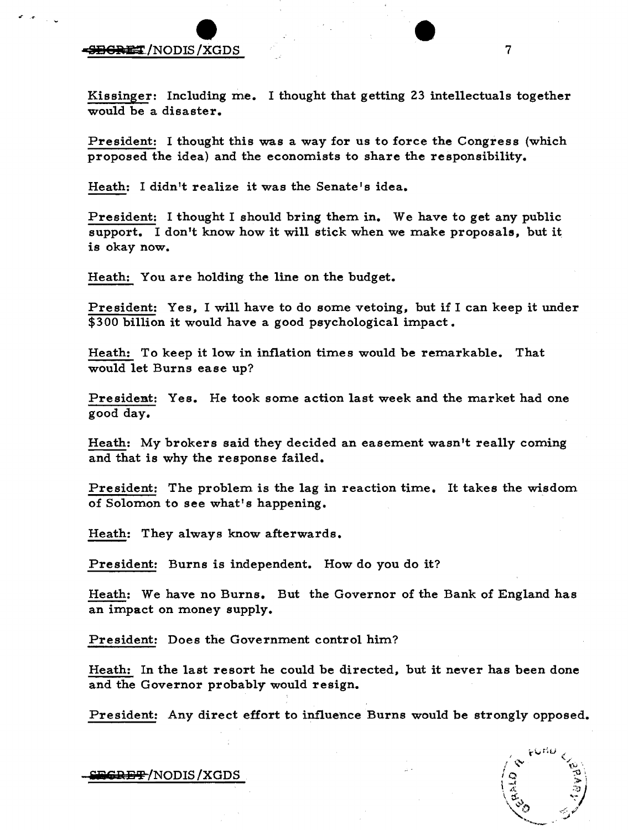# e and the second of the second of the second of the second of the second of the second of the second of the second of the second of the second of the second of the second of the second of the second of the second of the se

... -cr

Kissinger: Including me. I thought that getting 23 intellectuals together would be a disaster.

President: I thought this was a way for us to force the Congress (which proposed the idea) and the economists to share the responsibility.

Heath: I didn't realize it was the Senate's idea.

President: I thought I should bring them in. We have to get any public support. I don't know how it will stick when we make proposals, but it is okay now.

Heath: You are holding the line on the budget.

President: Yes, I will have to do some vetoing, but if I can keep it under \$300 billion it would have a good psychological impact.

Heath: To keep it low in inflation times would be remarkable. That would let Burns ease up?

President: Yes. He took some action last week and the market had one good day.

Heath: My brokers said they decided an easement wasn't really coming and that is why the response failed.

President: The problem is the lag in reaction time. It takes the wisdom of Solomon to see what's happening.

Heath: They always know afterwards.

President: Burns is independent. How do you do it?

Heath: We have no Burns. But the Governor of the Bank of England has an impact on money supply.

President: Does the Government control him?

Heath: In the last resort he could be directed, but it never has been done and the Governor probably would resign.

President: Any direct effort to influence Burns would be strongly opposed.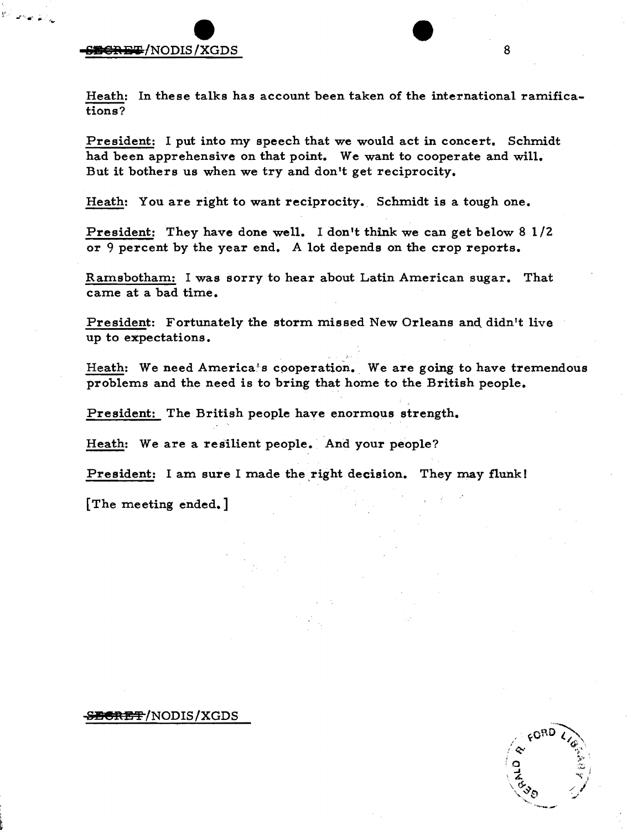$\bullet$ **819 CRET /NODIS / XGDS** 8

Heath: In these talks has account been taken of the international ramifications?

President: I put into my speech that we would act in concert. Schmidt had been apprehensive on that point. We want to cooperate and will. But it bothers us when we try and don't get reciprocity.

Heath: You are right to want reciprocity. Schmidt is a tough one.

President: They have done well. I don't think we can get below 8 *1/2*  or 9 percent by the year end. A lot depends on the crop reports.

Ramsbotham: I was sorry to hear about Latin American sugar. That came at a bad time.

President: Fortunately the storm missed New Orleans and didn't live up to expectations.

Heath: We need America's cooperation. We are going to have tremendous problems and the need is to bring that home to the British people.

President: The British people have enormous strength.

Heath: We are a resilient people. And your people?

President: I am sure I made the right decision. They may flunk!

[The meeting ended.]

#### **819 eRE"!'** INODIS *IXGDS*

 $60^{10}$   $\langle \rangle$  $\sim$  ' $\sim$  ' $\sim$ ~~C7' ' ,~ ,~  $\tilde{\prec}$  / //  $\ddot{}$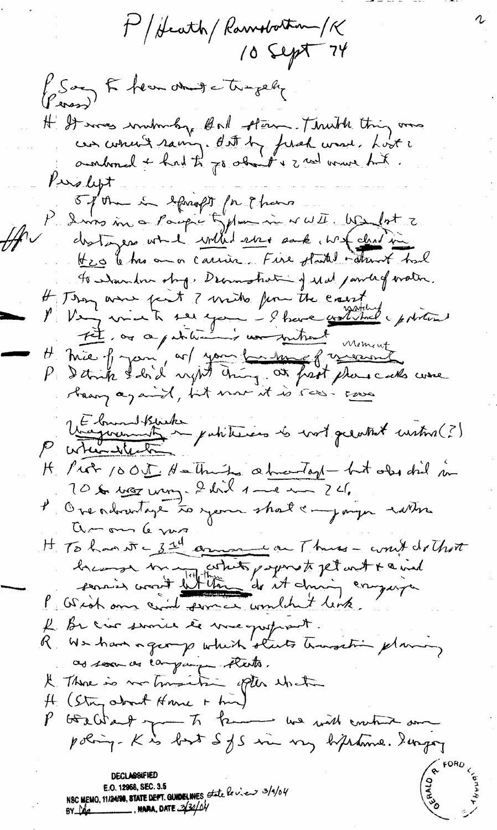M/ Heath/ Ramobotton/K  $10$  Sept 74 P Say E hear and i tragedy H It was wintmaking of oil store. Think thing and can correct saming. But by fixed wave, Lost i Puslept 5 ptm in equality for thems I vivo in a Parpir typhon in WWI. We lot 2 Heo to his an a carrier. Fire started instanct had to whandow story. Decrees that is of Mal jamled oration. If They ame fait ? write from the court ret ou apatition is un mitmed mement H. Mie of your, as you has the there is more int Végociation de la fabilitation de vost greatest custome (?) H Prot 1005 Hatting a two-tool - but old did in 10 kr max mong. I doil 1 - 1 m 24. l'Oreadoratage to years short a join sotter aron le ma H To hand = 3rd commence on Thus - won't do that bremain court letter de et dans compagnier I Be crès service le mes postant. R We have a george which starts transation planning as soon as campaign thats. It There is no trusting often what H (Stry about Home + hin) P GERCHart you to know we will control on poling. Kis but SfS in my biftenine. Surgay **DECLASSIFIED** E.O. 12958, SEC. 3.5 NSC MEMO, 11/24190, STATE DEPT. GUNDELINES State le vieux 3/1/04 **NARA, DATE**  $-34/04$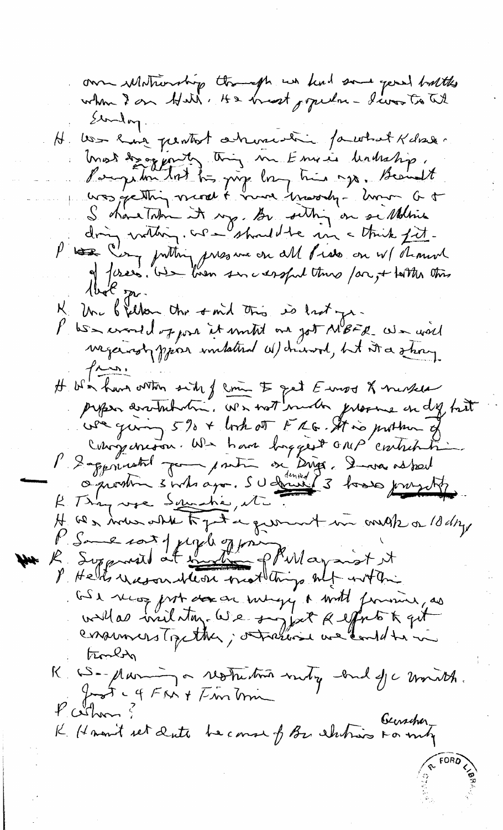om Motionship though we keel some your buttles Standay. H. Wer have pentot arrivement partiet Kdral. most des ogjortes trong me Emisis houtestip.<br>Pampion tot trong long tris ogs. Beaudit. S showe Taken it may be setting on sellene dring vathing. We should be in a think fit.<br>P to Comp putting encourant all fields on W/ Thement K Un bjelken the omid this is last ye. P. We would of jour it would one got MBFR We will  $129.$ H We have orthon sich of come to get Euros & neckes we giving 5% + book of FRG. It is prother of compensant une haut buggest amp'entitition P 2 apprendred pour prentre on Dings, 2 mais astock H we man what to get a ground in onested 18 days P. Some cont y cycle of principal aprist it I Helts weson bless mothings of within GS en vers prot des architegy a with finance, as<br>und des villations (e) e surpret Regents & qui trouble R CS-parin - restrition mety land fc month. Just - 4 FM + Fm min  $P$  cothan ? K. Hamit set dute become of Be alutions For my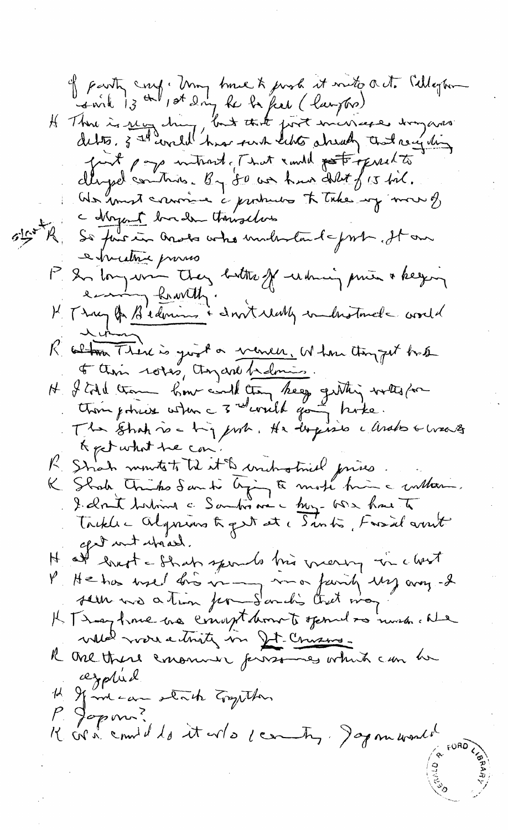of party coup : Umy tome to prob it wito a et. Celleghon H Thou is recyclent last that just minister dogares furt page introduct and emily pot opinate dluged control. By 80 we have delit f 15 bil. We know convince i producto to take my more of a d'ayant bu de touselves R. So funcion anotes who understand from the one e pruttice proviso P. In long union they butthe off which prime a keying K Tray of Bedmins & don't that interesting conde Clima There is good a venier. When thought hat H J till comme home could then they gitting with form & pet what he can R Strah monte to trè de la tite de toutes de la prise.<br>K Strah Trinho Santi Ajon En mote hig a culture. I clout holims a Santis me a buy one have to Trikle - Algnuns tropet et c Sintis, Fassal avrit afed unt which. at lorot a Shah sports his mening in clost  $\mu$ P He has well fro in my mor fairly my arong -2 sem us ation for Souch's that may It They have no comptannets opened as much alle which were eitherty in It. Cruzine. R One there emonuer prosones which can be azplied 1 Marcan stack Empthen P. Jopm? Kordennid dø it avla certy. Japmanen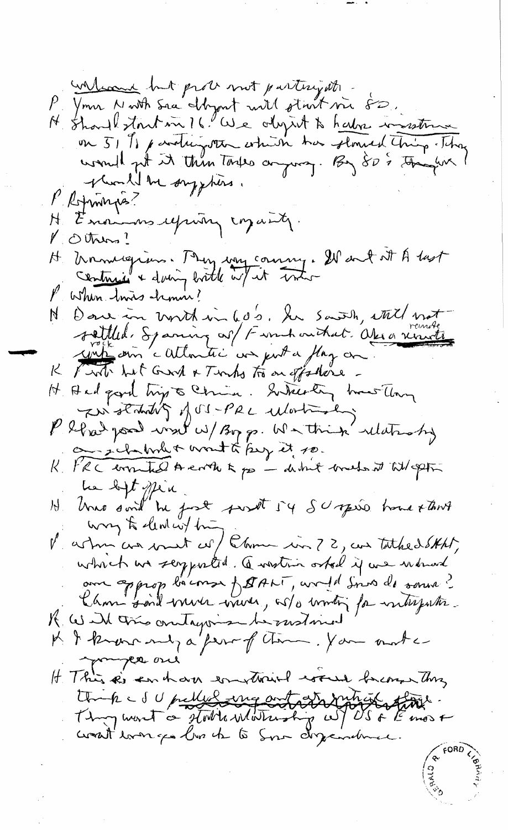welcome but prote mot partnyate Your North Sac Shyout will start me 80. N. Should stout in 16. We object to have instrume on 51 % paraticipation which has stored thing . They would get it thin Toyles argumen. By 80 % thinghin! plund be supplies. l'etminges? H Enough upwing coparty.  $\mathcal{V}$  Others? H Manuagium. My way coming. It and at A last contrains & doing brother w/ it trater P when twis him ! Dare in worth in 600. In Saish, ettel mot N. sattled, Spaning as/ Fannhauthat. Opera visual K Pirt hat Grand & Tenho to an effortione -H And good hip to China. Sukerly how they The standing of SI-PRL ularistics P blad pool wat w/ Byp. Watnik whatsof on sichalment wont to buy it to. K. PRC commented A control po - destruct concerts it till aptin la bit plu<br>H. Une soul ne fort suret 54 SU opéré home stant way to lead within V aston as went of Chome in ? 2, as tathed SHAT, which we seggented. Question ostal if we warned au approp béconse fetat (, un 1d Sino de souse?) K Will this ontagonise he motioned K & known my a fear of them. You mother myer one It This is an har won tried would become this think I updure my ont at vintation Thoughout a storth mothership wil US & Emos &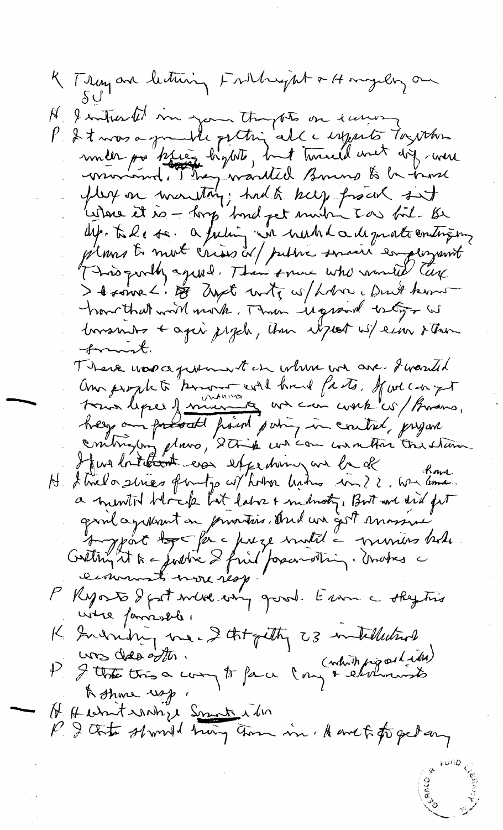K Tray an lecturing Fritheyat + Hongely on A Intravel in your thoughts on euros P & t was a grande petting alle emperto Togother under po krig hybts, but turned met dig were<br>warrowed. They wanted Bours to be trans Letone it is - hop bind pet much I as fil. Be dep. tale se. a futin un numbla de protecnitique plans to mot crisis or public servir employent I trouve -. De Zyst unte w/holme, Duit hum have that will nock. Then it grand bety - W borsmos + agai jegel, then usport w/einer sther frank. There was a premient in where are I wanted Om prophete "known will hand fasts, faucon yt hey am present point point in control, prejan contrajon place, 2 trip we can wanted the stand Hur loitation era expediming are be de Atrilo sines finitio et hobre habro in ? ?. We love.  $\mathcal{P}^+$ a minited block but later & military, Brit and drid fit grind agressemt on privaties, And we gest massive eimments nore resp P. Ryorts & gat were every good. Even a skytin were processed. K Indring me- I thought 23 intellectual P & that this a compt for a long & elements H Hebritsonhil Smith in P. I that should hing them in A and to forged any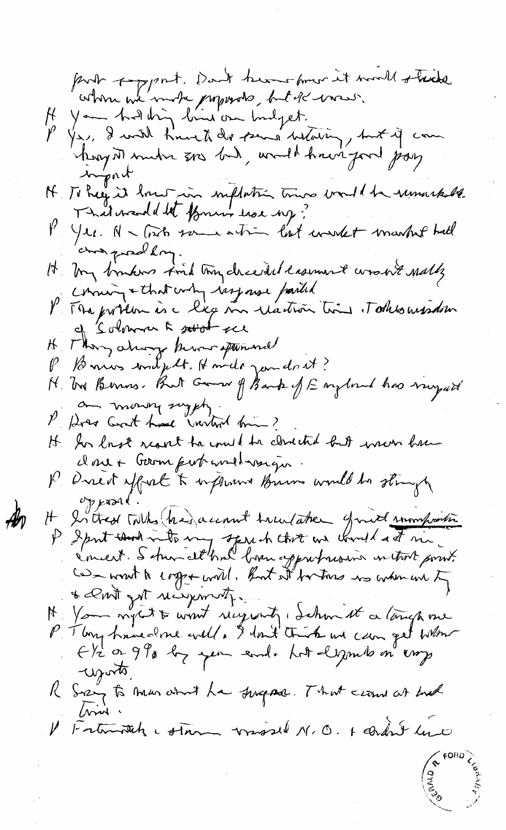part support, Dan't know from it would stack you had thing line on hudget. P You, I wish time to die pears betaling, but if com injent H To hay it love in inflation tries would be runnachede. That wand det former has ng? V Yer. N - Took some action last weekst market ball and prodling. It my brukers find tron deceded easument worsen't nally coming & that why response parted P. Ma problem is a liege me réaction times. Todels aussain Solomon From the 악 H They always know spanned P Bonus wident. Howds jan don't? H. Tra Bernos, But Gran of Bank of England has rayad an money sugget, P Does Good have invited him? It for last reach to could be closed to the moon have closet Gerom pertravaillements P. Direct effect to influence Burn would be stringly  $\mathcal{O}$ p kral It Intred Titles (his account true aten grund romportion P Sport that with my speech that are would at me.<br>Concert. S shared has been approfousing on that point. & 2 mit got receptions to N You nytt to won't recyclenty, Ichun it a langh one P. Tby have done will. I lout trist us can get when Eli or 990 by year eard. Lot legals on emp worts, R Sizzy to man and ha surgease. That circa at trad Crid V Fratritish comment missed N.O. + condut line

 $\mathscr{A}_0$